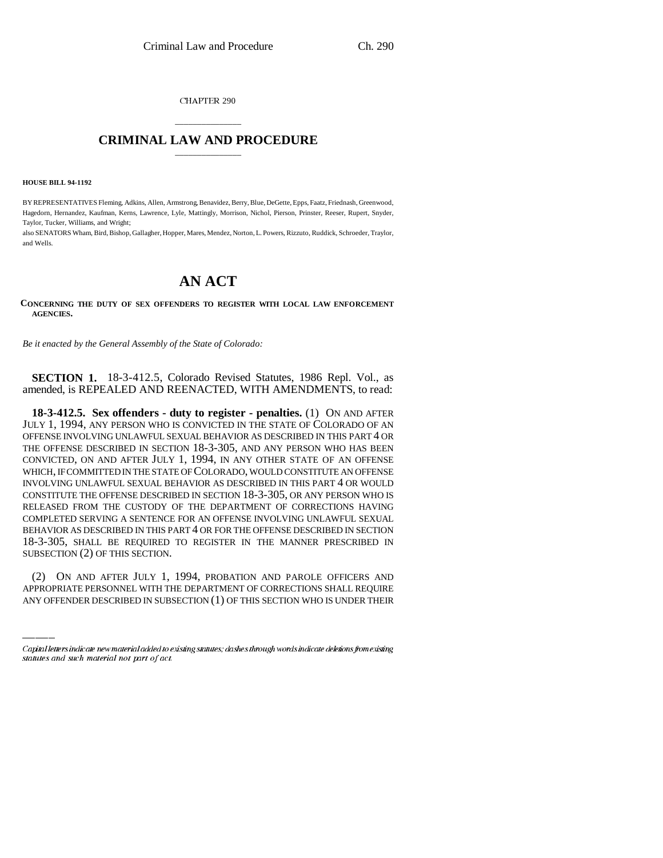CHAPTER 290

## \_\_\_\_\_\_\_\_\_\_\_\_\_\_\_ **CRIMINAL LAW AND PROCEDURE** \_\_\_\_\_\_\_\_\_\_\_\_\_\_\_

**HOUSE BILL 94-1192**

BY REPRESENTATIVES Fleming, Adkins, Allen, Armstrong, Benavidez, Berry, Blue, DeGette, Epps, Faatz, Friednash, Greenwood, Hagedorn, Hernandez, Kaufman, Kerns, Lawrence, Lyle, Mattingly, Morrison, Nichol, Pierson, Prinster, Reeser, Rupert, Snyder, Taylor, Tucker, Williams, and Wright;

also SENATORS Wham, Bird, Bishop, Gallagher, Hopper, Mares, Mendez, Norton, L. Powers, Rizzuto, Ruddick, Schroeder, Traylor, and Wells.

## **AN ACT**

**CONCERNING THE DUTY OF SEX OFFENDERS TO REGISTER WITH LOCAL LAW ENFORCEMENT AGENCIES.**

*Be it enacted by the General Assembly of the State of Colorado:*

**SECTION 1.** 18-3-412.5, Colorado Revised Statutes, 1986 Repl. Vol., as amended, is REPEALED AND REENACTED, WITH AMENDMENTS, to read:

SUBSECTION (2) OF THIS SECTION. **18-3-412.5. Sex offenders - duty to register - penalties.** (1) ON AND AFTER JULY 1, 1994, ANY PERSON WHO IS CONVICTED IN THE STATE OF COLORADO OF AN OFFENSE INVOLVING UNLAWFUL SEXUAL BEHAVIOR AS DESCRIBED IN THIS PART 4 OR THE OFFENSE DESCRIBED IN SECTION 18-3-305, AND ANY PERSON WHO HAS BEEN CONVICTED, ON AND AFTER JULY 1, 1994, IN ANY OTHER STATE OF AN OFFENSE WHICH, IF COMMITTED IN THE STATE OF COLORADO, WOULD CONSTITUTE AN OFFENSE INVOLVING UNLAWFUL SEXUAL BEHAVIOR AS DESCRIBED IN THIS PART 4 OR WOULD CONSTITUTE THE OFFENSE DESCRIBED IN SECTION 18-3-305, OR ANY PERSON WHO IS RELEASED FROM THE CUSTODY OF THE DEPARTMENT OF CORRECTIONS HAVING COMPLETED SERVING A SENTENCE FOR AN OFFENSE INVOLVING UNLAWFUL SEXUAL BEHAVIOR AS DESCRIBED IN THIS PART 4 OR FOR THE OFFENSE DESCRIBED IN SECTION 18-3-305, SHALL BE REQUIRED TO REGISTER IN THE MANNER PRESCRIBED IN

(2) ON AND AFTER JULY 1, 1994, PROBATION AND PAROLE OFFICERS AND APPROPRIATE PERSONNEL WITH THE DEPARTMENT OF CORRECTIONS SHALL REQUIRE ANY OFFENDER DESCRIBED IN SUBSECTION (1) OF THIS SECTION WHO IS UNDER THEIR

Capital letters indicate new material added to existing statutes; dashes through words indicate deletions from existing statutes and such material not part of act.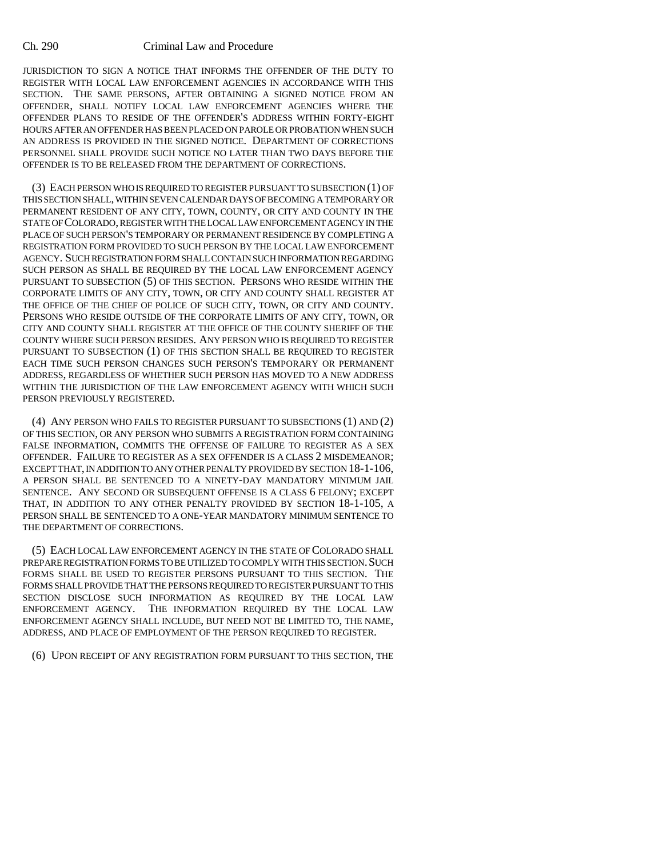## Ch. 290 Criminal Law and Procedure

JURISDICTION TO SIGN A NOTICE THAT INFORMS THE OFFENDER OF THE DUTY TO REGISTER WITH LOCAL LAW ENFORCEMENT AGENCIES IN ACCORDANCE WITH THIS SECTION. THE SAME PERSONS, AFTER OBTAINING A SIGNED NOTICE FROM AN OFFENDER, SHALL NOTIFY LOCAL LAW ENFORCEMENT AGENCIES WHERE THE OFFENDER PLANS TO RESIDE OF THE OFFENDER'S ADDRESS WITHIN FORTY-EIGHT HOURS AFTER AN OFFENDER HAS BEEN PLACED ON PAROLE OR PROBATION WHEN SUCH AN ADDRESS IS PROVIDED IN THE SIGNED NOTICE. DEPARTMENT OF CORRECTIONS PERSONNEL SHALL PROVIDE SUCH NOTICE NO LATER THAN TWO DAYS BEFORE THE OFFENDER IS TO BE RELEASED FROM THE DEPARTMENT OF CORRECTIONS.

(3) EACH PERSON WHO IS REQUIRED TO REGISTER PURSUANT TO SUBSECTION (1) OF THIS SECTION SHALL, WITHIN SEVEN CALENDAR DAYS OF BECOMING A TEMPORARY OR PERMANENT RESIDENT OF ANY CITY, TOWN, COUNTY, OR CITY AND COUNTY IN THE STATE OF COLORADO, REGISTER WITH THE LOCAL LAW ENFORCEMENT AGENCY IN THE PLACE OF SUCH PERSON'S TEMPORARY OR PERMANENT RESIDENCE BY COMPLETING A REGISTRATION FORM PROVIDED TO SUCH PERSON BY THE LOCAL LAW ENFORCEMENT AGENCY. SUCH REGISTRATION FORM SHALL CONTAIN SUCH INFORMATION REGARDING SUCH PERSON AS SHALL BE REQUIRED BY THE LOCAL LAW ENFORCEMENT AGENCY PURSUANT TO SUBSECTION (5) OF THIS SECTION. PERSONS WHO RESIDE WITHIN THE CORPORATE LIMITS OF ANY CITY, TOWN, OR CITY AND COUNTY SHALL REGISTER AT THE OFFICE OF THE CHIEF OF POLICE OF SUCH CITY, TOWN, OR CITY AND COUNTY. PERSONS WHO RESIDE OUTSIDE OF THE CORPORATE LIMITS OF ANY CITY, TOWN, OR CITY AND COUNTY SHALL REGISTER AT THE OFFICE OF THE COUNTY SHERIFF OF THE COUNTY WHERE SUCH PERSON RESIDES. ANY PERSON WHO IS REQUIRED TO REGISTER PURSUANT TO SUBSECTION (1) OF THIS SECTION SHALL BE REQUIRED TO REGISTER EACH TIME SUCH PERSON CHANGES SUCH PERSON'S TEMPORARY OR PERMANENT ADDRESS, REGARDLESS OF WHETHER SUCH PERSON HAS MOVED TO A NEW ADDRESS WITHIN THE JURISDICTION OF THE LAW ENFORCEMENT AGENCY WITH WHICH SUCH PERSON PREVIOUSLY REGISTERED.

(4) ANY PERSON WHO FAILS TO REGISTER PURSUANT TO SUBSECTIONS (1) AND (2) OF THIS SECTION, OR ANY PERSON WHO SUBMITS A REGISTRATION FORM CONTAINING FALSE INFORMATION, COMMITS THE OFFENSE OF FAILURE TO REGISTER AS A SEX OFFENDER. FAILURE TO REGISTER AS A SEX OFFENDER IS A CLASS 2 MISDEMEANOR; EXCEPT THAT, IN ADDITION TO ANY OTHER PENALTY PROVIDED BY SECTION 18-1-106, A PERSON SHALL BE SENTENCED TO A NINETY-DAY MANDATORY MINIMUM JAIL SENTENCE. ANY SECOND OR SUBSEQUENT OFFENSE IS A CLASS 6 FELONY; EXCEPT THAT, IN ADDITION TO ANY OTHER PENALTY PROVIDED BY SECTION 18-1-105, A PERSON SHALL BE SENTENCED TO A ONE-YEAR MANDATORY MINIMUM SENTENCE TO THE DEPARTMENT OF CORRECTIONS.

(5) EACH LOCAL LAW ENFORCEMENT AGENCY IN THE STATE OF COLORADO SHALL PREPARE REGISTRATION FORMS TO BE UTILIZED TO COMPLY WITH THIS SECTION. SUCH FORMS SHALL BE USED TO REGISTER PERSONS PURSUANT TO THIS SECTION. THE FORMS SHALL PROVIDE THAT THE PERSONS REQUIRED TO REGISTER PURSUANT TO THIS SECTION DISCLOSE SUCH INFORMATION AS REQUIRED BY THE LOCAL LAW ENFORCEMENT AGENCY. THE INFORMATION REQUIRED BY THE LOCAL LAW ENFORCEMENT AGENCY SHALL INCLUDE, BUT NEED NOT BE LIMITED TO, THE NAME, ADDRESS, AND PLACE OF EMPLOYMENT OF THE PERSON REQUIRED TO REGISTER.

(6) UPON RECEIPT OF ANY REGISTRATION FORM PURSUANT TO THIS SECTION, THE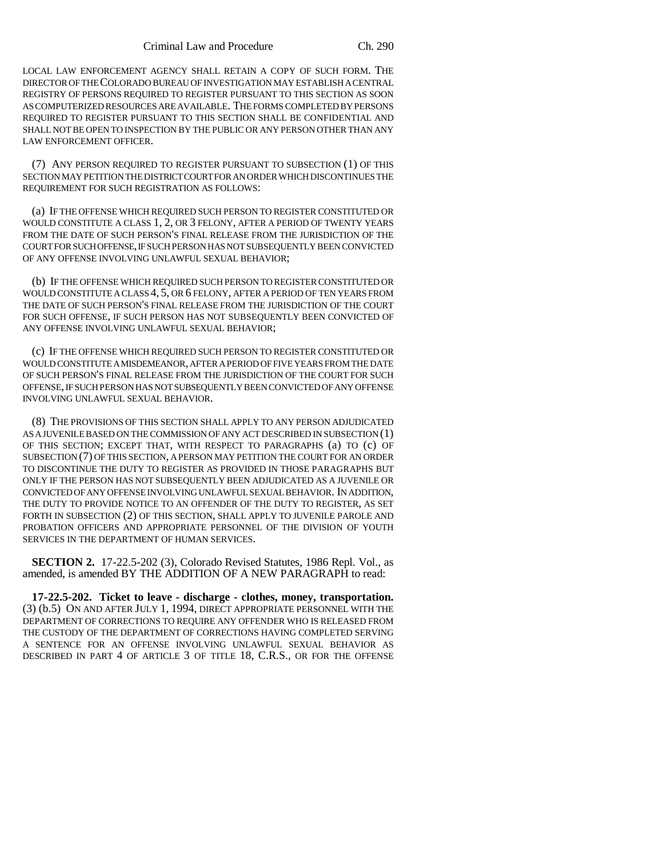LOCAL LAW ENFORCEMENT AGENCY SHALL RETAIN A COPY OF SUCH FORM. THE DIRECTOR OF THE COLORADO BUREAU OF INVESTIGATION MAY ESTABLISH A CENTRAL REGISTRY OF PERSONS REQUIRED TO REGISTER PURSUANT TO THIS SECTION AS SOON AS COMPUTERIZED RESOURCES ARE AVAILABLE. THE FORMS COMPLETED BY PERSONS REQUIRED TO REGISTER PURSUANT TO THIS SECTION SHALL BE CONFIDENTIAL AND SHALL NOT BE OPEN TO INSPECTION BY THE PUBLIC OR ANY PERSON OTHER THAN ANY LAW ENFORCEMENT OFFICER.

(7) ANY PERSON REQUIRED TO REGISTER PURSUANT TO SUBSECTION (1) OF THIS SECTION MAY PETITION THE DISTRICT COURT FOR AN ORDER WHICH DISCONTINUES THE REQUIREMENT FOR SUCH REGISTRATION AS FOLLOWS:

(a) IF THE OFFENSE WHICH REQUIRED SUCH PERSON TO REGISTER CONSTITUTED OR WOULD CONSTITUTE A CLASS 1, 2, OR 3 FELONY, AFTER A PERIOD OF TWENTY YEARS FROM THE DATE OF SUCH PERSON'S FINAL RELEASE FROM THE JURISDICTION OF THE COURT FOR SUCH OFFENSE, IF SUCH PERSON HAS NOT SUBSEQUENTLY BEEN CONVICTED OF ANY OFFENSE INVOLVING UNLAWFUL SEXUAL BEHAVIOR;

(b) IF THE OFFENSE WHICH REQUIRED SUCH PERSON TO REGISTER CONSTITUTED OR WOULD CONSTITUTE A CLASS 4, 5, OR 6 FELONY, AFTER A PERIOD OF TEN YEARS FROM THE DATE OF SUCH PERSON'S FINAL RELEASE FROM THE JURISDICTION OF THE COURT FOR SUCH OFFENSE, IF SUCH PERSON HAS NOT SUBSEQUENTLY BEEN CONVICTED OF ANY OFFENSE INVOLVING UNLAWFUL SEXUAL BEHAVIOR;

(c) IF THE OFFENSE WHICH REQUIRED SUCH PERSON TO REGISTER CONSTITUTED OR WOULD CONSTITUTE A MISDEMEANOR, AFTER A PERIOD OF FIVE YEARS FROM THE DATE OF SUCH PERSON'S FINAL RELEASE FROM THE JURISDICTION OF THE COURT FOR SUCH OFFENSE, IF SUCH PERSON HAS NOT SUBSEQUENTLY BEEN CONVICTED OF ANY OFFENSE INVOLVING UNLAWFUL SEXUAL BEHAVIOR.

(8) THE PROVISIONS OF THIS SECTION SHALL APPLY TO ANY PERSON ADJUDICATED AS A JUVENILE BASED ON THE COMMISSION OF ANY ACT DESCRIBED IN SUBSECTION (1) OF THIS SECTION; EXCEPT THAT, WITH RESPECT TO PARAGRAPHS (a) TO (c) OF SUBSECTION (7) OF THIS SECTION, A PERSON MAY PETITION THE COURT FOR AN ORDER TO DISCONTINUE THE DUTY TO REGISTER AS PROVIDED IN THOSE PARAGRAPHS BUT ONLY IF THE PERSON HAS NOT SUBSEQUENTLY BEEN ADJUDICATED AS A JUVENILE OR CONVICTED OF ANY OFFENSE INVOLVING UNLAWFUL SEXUAL BEHAVIOR. IN ADDITION, THE DUTY TO PROVIDE NOTICE TO AN OFFENDER OF THE DUTY TO REGISTER, AS SET FORTH IN SUBSECTION (2) OF THIS SECTION, SHALL APPLY TO JUVENILE PAROLE AND PROBATION OFFICERS AND APPROPRIATE PERSONNEL OF THE DIVISION OF YOUTH SERVICES IN THE DEPARTMENT OF HUMAN SERVICES.

**SECTION 2.** 17-22.5-202 (3), Colorado Revised Statutes, 1986 Repl. Vol., as amended, is amended BY THE ADDITION OF A NEW PARAGRAPH to read:

**17-22.5-202. Ticket to leave - discharge - clothes, money, transportation.** (3) (b.5) ON AND AFTER JULY 1, 1994, DIRECT APPROPRIATE PERSONNEL WITH THE DEPARTMENT OF CORRECTIONS TO REQUIRE ANY OFFENDER WHO IS RELEASED FROM THE CUSTODY OF THE DEPARTMENT OF CORRECTIONS HAVING COMPLETED SERVING A SENTENCE FOR AN OFFENSE INVOLVING UNLAWFUL SEXUAL BEHAVIOR AS DESCRIBED IN PART 4 OF ARTICLE 3 OF TITLE 18, C.R.S., OR FOR THE OFFENSE